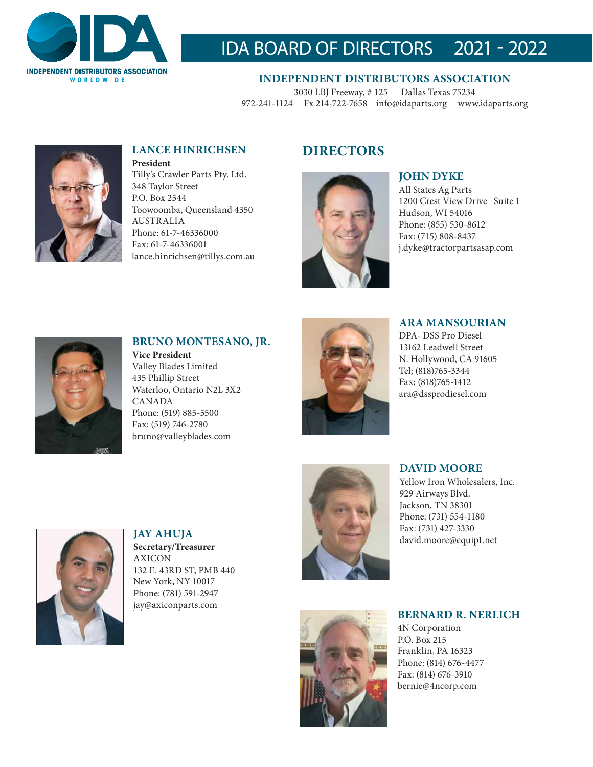

# IDA BOARD OF DIRECTORS 2021 - 2022

**INDEPENDENT DISTRIBUTORS ASSOCIATION** 3030 LBJ Freeway, # 125 Dallas Texas 75234

972-241-1124 Fx 214-722-7658 info@idaparts.org www.idaparts.org



# **LANCE HINRICHSEN DIRECTORS**

**President** Tilly's Crawler Parts Pty. Ltd. 348 Taylor Street P.O. Box 2544 Toowoomba, Queensland 4350 AUSTRALIA Phone: 61-7-46336000 Fax: 61-7-46336001 lance.hinrichsen@tillys.com.au



## **JOHN DYKE**

All States Ag Parts 1200 Crest View Drive Suite 1 Hudson, WI 54016 Phone: (855) 530-8612 Fax: (715) 808-8437 j.dyke@tractorpartsasap.com



#### **BRUNO MONTESANO, JR. Vice President** Valley Blades Limited 435 Phillip Street Waterloo, Ontario N2L 3X2

CANADA Phone: (519) 885-5500 Fax: (519) 746-2780 bruno@valleyblades.com



## **ARA MANSOURIAN**

DPA- DSS Pro Diesel 13162 Leadwell Street N. Hollywood, CA 91605 Tel; (818)765-3344 Fax; (818)765-1412 ara@dssprodiesel.com



**JAY AHUJA Secretary/Treasurer**  AXICON 132 E. 43RD ST, PMB 440 New York, NY 10017 Phone: (781) 591-2947 jay@axiconparts.com



## **DAVID MOORE**

Yellow Iron Wholesalers, Inc. 929 Airways Blvd. Jackson, TN 38301 Phone: (731) 554-1180 Fax: (731) 427-3330 david.moore@equip1.net



**BERNARD R. NERLICH** 4N Corporation P.O. Box 215 Franklin, PA 16323 Phone: (814) 676-4477 Fax: (814) 676-3910 bernie@4ncorp.com